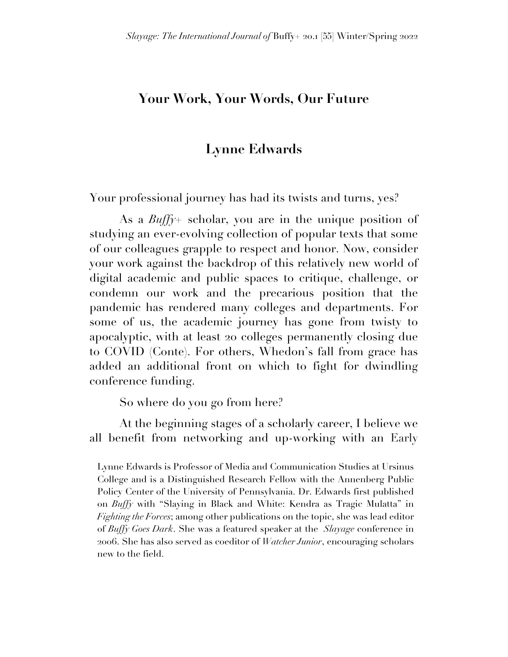## **Your Work, Your Words, Our Future**

## **Lynne Edwards**

Your professional journey has had its twists and turns, yes?

As a *Buffy+* scholar, you are in the unique position of studying an ever-evolving collection of popular texts that some of our colleagues grapple to respect and honor. Now, consider your work against the backdrop of this relatively new world of digital academic and public spaces to critique, challenge, or condemn our work and the precarious position that the pandemic has rendered many colleges and departments. For some of us, the academic journey has gone from twisty to apocalyptic, with at least 20 colleges permanently closing due to COVID (Conte). For others, Whedon's fall from grace has added an additional front on which to fight for dwindling conference funding.

So where do you go from here?

At the beginning stages of a scholarly career, I believe we all benefit from networking and up-working with an Early

Lynne Edwards is Professor of Media and Communication Studies at Ursinus College and is a Distinguished Research Fellow with the Annenberg Public Policy Center of the University of Pennsylvania. Dr. Edwards first published on *Buffy* with "Slaying in Black and White: Kendra as Tragic Mulatta" in *Fighting the Forces*; among other publications on the topic, she was lead editor of *Buffy Goes Dark*. She was a featured speaker at the *Slayage* conference in 2006. She has also served as coeditor of *Watcher Junior*, encouraging scholars new to the field.